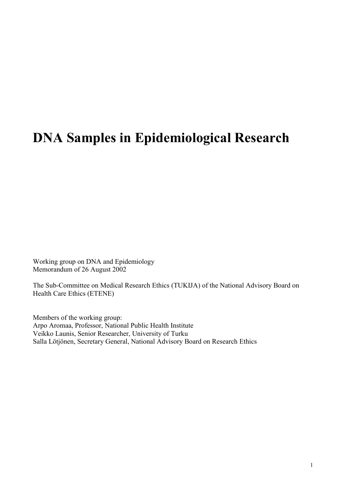# **DNA Samples in Epidemiological Research**

Working group on DNA and Epidemiology Memorandum of 26 August 2002

The Sub-Committee on Medical Research Ethics (TUKIJA) of the National Advisory Board on Health Care Ethics (ETENE)

Members of the working group: Arpo Aromaa, Professor, National Public Health Institute Veikko Launis, Senior Researcher, University of Turku Salla Lötjönen, Secretary General, National Advisory Board on Research Ethics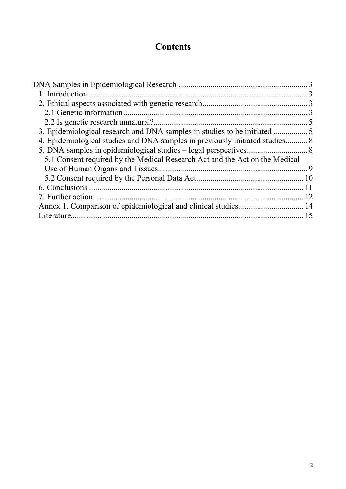# **Contents**

| 4. Epidemiological studies and DNA samples in previously initiated studies 8 |    |
|------------------------------------------------------------------------------|----|
|                                                                              |    |
| 5.1 Consent required by the Medical Research Act and the Act on the Medical  |    |
|                                                                              |    |
|                                                                              |    |
|                                                                              |    |
| 7. Further action:                                                           |    |
|                                                                              |    |
| Literature.                                                                  | 15 |
|                                                                              |    |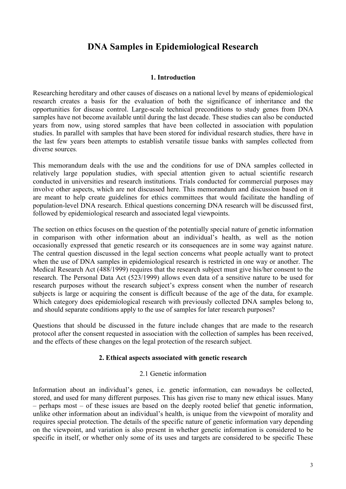# **DNA Samples in Epidemiological Research**

### **1. Introduction**

Researching hereditary and other causes of diseases on a national level by means of epidemiological research creates a basis for the evaluation of both the significance of inheritance and the opportunities for disease control. Large-scale technical preconditions to study genes from DNA samples have not become available until during the last decade. These studies can also be conducted years from now, using stored samples that have been collected in association with population studies. In parallel with samples that have been stored for individual research studies, there have in the last few years been attempts to establish versatile tissue banks with samples collected from diverse sources.

This memorandum deals with the use and the conditions for use of DNA samples collected in relatively large population studies, with special attention given to actual scientific research conducted in universities and research institutions. Trials conducted for commercial purposes may involve other aspects, which are not discussed here. This memorandum and discussion based on it are meant to help create guidelines for ethics committees that would facilitate the handling of population-level DNA research. Ethical questions concerning DNA research will be discussed first, followed by epidemiological research and associated legal viewpoints.

The section on ethics focuses on the question of the potentially special nature of genetic information in comparison with other information about an individual's health, as well as the notion occasionally expressed that genetic research or its consequences are in some way against nature. The central question discussed in the legal section concerns what people actually want to protect when the use of DNA samples in epidemiological research is restricted in one way or another. The Medical Research Act (488/1999) requires that the research subject must give his/her consent to the research. The Personal Data Act (523/1999) allows even data of a sensitive nature to be used for research purposes without the research subject's express consent when the number of research subjects is large or acquiring the consent is difficult because of the age of the data, for example. Which category does epidemiological research with previously collected DNA samples belong to, and should separate conditions apply to the use of samples for later research purposes?

Questions that should be discussed in the future include changes that are made to the research protocol after the consent requested in association with the collection of samples has been received, and the effects of these changes on the legal protection of the research subject.

#### **2. Ethical aspects associated with genetic research**

#### 2.1 Genetic information

Information about an individual's genes, i.e. genetic information, can nowadays be collected, stored, and used for many different purposes. This has given rise to many new ethical issues. Many – perhaps most – of these issues are based on the deeply rooted belief that genetic information, unlike other information about an individual's health, is unique from the viewpoint of morality and requires special protection. The details of the specific nature of genetic information vary depending on the viewpoint, and variation is also present in whether genetic information is considered to be specific in itself, or whether only some of its uses and targets are considered to be specific These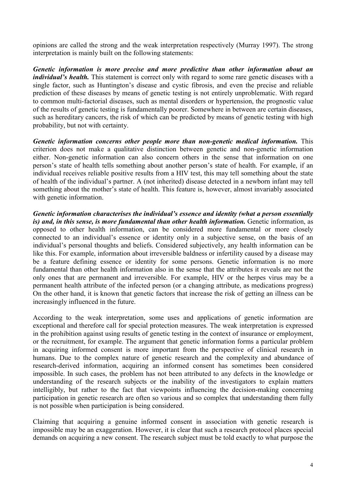opinions are called the strong and the weak interpretation respectively (Murray 1997). The strong interpretation is mainly built on the following statements:

*Genetic information is more precise and more predictive than other information about an individual's health*. This statement is correct only with regard to some rare genetic diseases with a single factor, such as Huntington's disease and cystic fibrosis, and even the precise and reliable prediction of these diseases by means of genetic testing is not entirely unproblematic. With regard to common multi-factorial diseases, such as mental disorders or hypertension, the prognostic value of the results of genetic testing is fundamentally poorer. Somewhere in between are certain diseases, such as hereditary cancers, the risk of which can be predicted by means of genetic testing with high probability, but not with certainty.

*Genetic information concerns other people more than non-genetic medical information.* This criterion does not make a qualitative distinction between genetic and non-genetic information either. Non-genetic information can also concern others in the sense that information on one person's state of health tells something about another person's state of health. For example, if an individual receives reliable positive results from a HIV test, this may tell something about the state of health of the individual's partner. A (not inherited) disease detected in a newborn infant may tell something about the mother's state of health. This feature is, however, almost invariably associated with genetic information.

*Genetic information characterises the individual's essence and identity (what a person essentially is) and, in this sense, is more fundamental than other health information.* Genetic information, as opposed to other health information, can be considered more fundamental or more closely connected to an individual's essence or identity only in a subjective sense, on the basis of an individual's personal thoughts and beliefs. Considered subjectively, any health information can be like this. For example, information about irreversible baldness or infertility caused by a disease may be a feature defining essence or identity for some persons. Genetic information is no more fundamental than other health information also in the sense that the attributes it reveals are not the only ones that are permanent and irreversible. For example, HIV or the herpes virus may be a permanent health attribute of the infected person (or a changing attribute, as medications progress) On the other hand, it is known that genetic factors that increase the risk of getting an illness can be increasingly influenced in the future.

According to the weak interpretation, some uses and applications of genetic information are exceptional and therefore call for special protection measures. The weak interpretation is expressed in the prohibition against using results of genetic testing in the context of insurance or employment, or the recruitment, for example. The argument that genetic information forms a particular problem in acquiring informed consent is more important from the perspective of clinical research in humans. Due to the complex nature of genetic research and the complexity and abundance of research-derived information, acquiring an informed consent has sometimes been considered impossible. In such cases, the problem has not been attributed to any defects in the knowledge or understanding of the research subjects or the inability of the investigators to explain matters intelligibly, but rather to the fact that viewpoints influencing the decision-making concerning participation in genetic research are often so various and so complex that understanding them fully is not possible when participation is being considered.

Claiming that acquiring a genuine informed consent in association with genetic research is impossible may be an exaggeration. However, it is clear that such a research protocol places special demands on acquiring a new consent. The research subject must be told exactly to what purpose the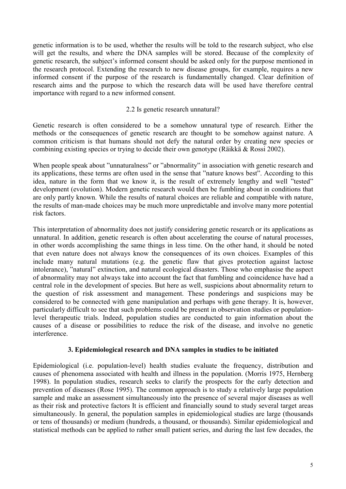genetic information is to be used, whether the results will be told to the research subject, who else will get the results, and where the DNA samples will be stored. Because of the complexity of genetic research, the subject's informed consent should be asked only for the purpose mentioned in the research protocol. Extending the research to new disease groups, for example, requires a new informed consent if the purpose of the research is fundamentally changed. Clear definition of research aims and the purpose to which the research data will be used have therefore central importance with regard to a new informed consent.

# 2.2 Is genetic research unnatural?

Genetic research is often considered to be a somehow unnatural type of research. Either the methods or the consequences of genetic research are thought to be somehow against nature. A common criticism is that humans should not defy the natural order by creating new species or combining existing species or trying to decide their own genotype (Räikkä & Rossi 2002).

When people speak about "unnaturalness" or "abnormality" in association with genetic research and its applications, these terms are often used in the sense that "nature knows best". According to this idea, nature in the form that we know it, is the result of extremely lengthy and well "tested" development (evolution). Modern genetic research would then be fumbling about in conditions that are only partly known. While the results of natural choices are reliable and compatible with nature, the results of man-made choices may be much more unpredictable and involve many more potential risk factors.

This interpretation of abnormality does not justify considering genetic research or its applications as unnatural. In addition, genetic research is often about accelerating the course of natural processes, in other words accomplishing the same things in less time. On the other hand, it should be noted that even nature does not always know the consequences of its own choices. Examples of this include many natural mutations (e.g. the genetic flaw that gives protection against lactose intolerance), "natural" extinction, and natural ecological disasters. Those who emphasise the aspect of abnormality may not always take into account the fact that fumbling and coincidence have had a central role in the development of species. But here as well, suspicions about abnormality return to the question of risk assessment and management. These ponderings and suspicions may be considered to be connected with gene manipulation and perhaps with gene therapy. It is, however, particularly difficult to see that such problems could be present in observation studies or populationlevel therapeutic trials. Indeed, population studies are conducted to gain information about the causes of a disease or possibilities to reduce the risk of the disease, and involve no genetic interference.

# **3. Epidemiological research and DNA samples in studies to be initiated**

Epidemiological (i.e. population-level) health studies evaluate the frequency, distribution and causes of phenomena associated with health and illness in the population. (Morris 1975, Hernberg 1998). In population studies, research seeks to clarify the prospects for the early detection and prevention of diseases (Rose 1995). The common approach is to study a relatively large population sample and make an assessment simultaneously into the presence of several major diseases as well as their risk and protective factors It is efficient and financially sound to study several target areas simultaneously. In general, the population samples in epidemiological studies are large (thousands or tens of thousands) or medium (hundreds, a thousand, or thousands). Similar epidemiological and statistical methods can be applied to rather small patient series, and during the last few decades, the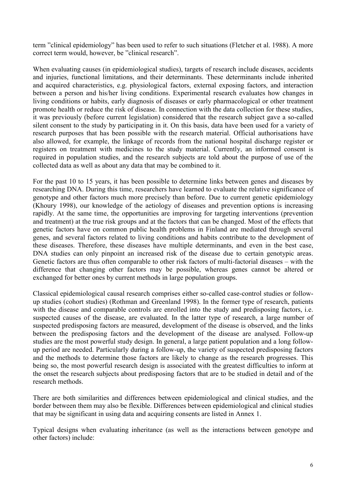term "clinical epidemiology" has been used to refer to such situations (Fletcher et al. 1988). A more correct term would, however, be "clinical research".

When evaluating causes (in epidemiological studies), targets of research include diseases, accidents and injuries, functional limitations, and their determinants. These determinants include inherited and acquired characteristics, e.g. physiological factors, external exposing factors, and interaction between a person and his/her living conditions. Experimental research evaluates how changes in living conditions or habits, early diagnosis of diseases or early pharmacological or other treatment promote health or reduce the risk of disease. In connection with the data collection for these studies, it was previously (before current legislation) considered that the research subject gave a so-called silent consent to the study by participating in it. On this basis, data have been used for a variety of research purposes that has been possible with the research material. Official authorisations have also allowed, for example, the linkage of records from the national hospital discharge register or registers on treatment with medicines to the study material. Currently, an informed consent is required in population studies, and the research subjects are told about the purpose of use of the collected data as well as about any data that may be combined to it.

For the past 10 to 15 years, it has been possible to determine links between genes and diseases by researching DNA. During this time, researchers have learned to evaluate the relative significance of genotype and other factors much more precisely than before. Due to current genetic epidemiology (Khoury 1998), our knowledge of the aetiology of diseases and prevention options is increasing rapidly. At the same time, the opportunities are improving for targeting interventions (prevention and treatment) at the true risk groups and at the factors that can be changed. Most of the effects that genetic factors have on common public health problems in Finland are mediated through several genes, and several factors related to living conditions and habits contribute to the development of these diseases. Therefore, these diseases have multiple determinants, and even in the best case, DNA studies can only pinpoint an increased risk of the disease due to certain genotypic areas. Genetic factors are thus often comparable to other risk factors of multi-factorial diseases – with the difference that changing other factors may be possible, whereas genes cannot be altered or exchanged for better ones by current methods in large population groups.

Classical epidemiological causal research comprises either so-called case-control studies or followup studies (cohort studies) (Rothman and Greenland 1998). In the former type of research, patients with the disease and comparable controls are enrolled into the study and predisposing factors, i.e. suspected causes of the disease, are evaluated. In the latter type of research, a large number of suspected predisposing factors are measured, development of the disease is observed, and the links between the predisposing factors and the development of the disease are analysed. Follow-up studies are the most powerful study design. In general, a large patient population and a long followup period are needed. Particularly during a follow-up, the variety of suspected predisposing factors and the methods to determine those factors are likely to change as the research progresses. This being so, the most powerful research design is associated with the greatest difficulties to inform at the onset the research subjects about predisposing factors that are to be studied in detail and of the research methods.

There are both similarities and differences between epidemiological and clinical studies, and the border between them may also be flexible. Differences between epidemiological and clinical studies that may be significant in using data and acquiring consents are listed in Annex 1.

Typical designs when evaluating inheritance (as well as the interactions between genotype and other factors) include: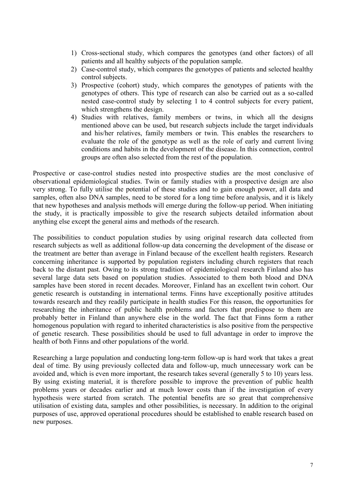- 1) Cross-sectional study, which compares the genotypes (and other factors) of all patients and all healthy subjects of the population sample.
- 2) Case-control study, which compares the genotypes of patients and selected healthy control subjects.
- 3) Prospective (cohort) study, which compares the genotypes of patients with the genotypes of others. This type of research can also be carried out as a so-called nested case-control study by selecting 1 to 4 control subjects for every patient, which strengthens the design.
- 4) Studies with relatives, family members or twins, in which all the designs mentioned above can be used, but research subjects include the target individuals and his/her relatives, family members or twin. This enables the researchers to evaluate the role of the genotype as well as the role of early and current living conditions and habits in the development of the disease. In this connection, control groups are often also selected from the rest of the population.

Prospective or case-control studies nested into prospective studies are the most conclusive of observational epidemiological studies. Twin or family studies with a prospective design are also very strong. To fully utilise the potential of these studies and to gain enough power, all data and samples, often also DNA samples, need to be stored for a long time before analysis, and it is likely that new hypotheses and analysis methods will emerge during the follow-up period. When initiating the study, it is practically impossible to give the research subjects detailed information about anything else except the general aims and methods of the research.

The possibilities to conduct population studies by using original research data collected from research subjects as well as additional follow-up data concerning the development of the disease or the treatment are better than average in Finland because of the excellent health registers. Research concerning inheritance is supported by population registers including church registers that reach back to the distant past. Owing to its strong tradition of epidemiological research Finland also has several large data sets based on population studies. Associated to them both blood and DNA samples have been stored in recent decades. Moreover, Finland has an excellent twin cohort. Our genetic research is outstanding in international terms. Finns have exceptionally positive attitudes towards research and they readily participate in health studies For this reason, the opportunities for researching the inheritance of public health problems and factors that predispose to them are probably better in Finland than anywhere else in the world. The fact that Finns form a rather homogenous population with regard to inherited characteristics is also positive from the perspective of genetic research. These possibilities should be used to full advantage in order to improve the health of both Finns and other populations of the world.

Researching a large population and conducting long-term follow-up is hard work that takes a great deal of time. By using previously collected data and follow-up, much unnecessary work can be avoided and, which is even more important, the research takes several (generally 5 to 10) years less. By using existing material, it is therefore possible to improve the prevention of public health problems years or decades earlier and at much lower costs than if the investigation of every hypothesis were started from scratch. The potential benefits are so great that comprehensive utilisation of existing data, samples and other possibilities, is necessary. In addition to the original purposes of use, approved operational procedures should be established to enable research based on new purposes.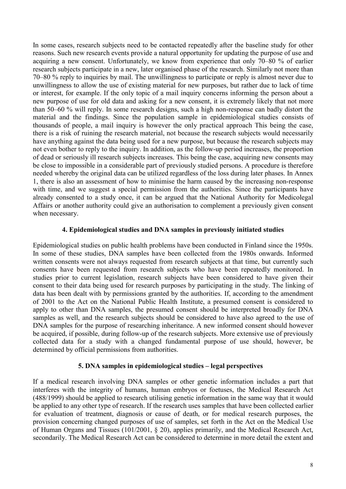In some cases, research subjects need to be contacted repeatedly after the baseline study for other reasons. Such new research events provide a natural opportunity for updating the purpose of use and acquiring a new consent. Unfortunately, we know from experience that only 70–80 % of earlier research subjects participate in a new, later organised phase of the research. Similarly not more than 70–80 % reply to inquiries by mail. The unwillingness to participate or reply is almost never due to unwillingness to allow the use of existing material for new purposes, but rather due to lack of time or interest, for example. If the only topic of a mail inquiry concerns informing the person about a new purpose of use for old data and asking for a new consent, it is extremely likely that not more than 50–60 % will reply. In some research designs, such a high non-response can badly distort the material and the findings. Since the population sample in epidemiological studies consists of thousands of people, a mail inquiry is however the only practical approach This being the case, there is a risk of ruining the research material, not because the research subjects would necessarily have anything against the data being used for a new purpose, but because the research subjects may not even bother to reply to the inquiry. In addition, as the follow-up period increases, the proportion of dead or seriously ill research subjects increases. This being the case, acquiring new consents may be close to impossible in a considerable part of previously studied persons. A procedure is therefore needed whereby the original data can be utilized regardless of the loss during later phases. In Annex 1, there is also an assessment of how to minimise the harm caused by the increasing non-response with time, and we suggest a special permission from the authorities. Since the participants have already consented to a study once, it can be argued that the National Authority for Medicolegal Affairs or another authority could give an authorisation to complement a previously given consent when necessary.

### **4. Epidemiological studies and DNA samples in previously initiated studies**

Epidemiological studies on public health problems have been conducted in Finland since the 1950s. In some of these studies, DNA samples have been collected from the 1980s onwards. Informed written consents were not always requested from research subjects at that time, but currently such consents have been requested from research subjects who have been repeatedly monitored. In studies prior to current legislation, research subjects have been considered to have given their consent to their data being used for research purposes by participating in the study. The linking of data has been dealt with by permissions granted by the authorities. If, according to the amendment of 2001 to the Act on the National Public Health Institute, a presumed consent is considered to apply to other than DNA samples, the presumed consent should be interpreted broadly for DNA samples as well, and the research subjects should be considered to have also agreed to the use of DNA samples for the purpose of researching inheritance. A new informed consent should however be acquired, if possible, during follow-up of the research subjects. More extensive use of previously collected data for a study with a changed fundamental purpose of use should, however, be determined by official permissions from authorities.

#### **5. DNA samples in epidemiological studies – legal perspectives**

If a medical research involving DNA samples or other genetic information includes a part that interferes with the integrity of humans, human embryos or foetuses, the Medical Research Act (488/1999) should be applied to research utilising genetic information in the same way that it would be applied to any other type of research. If the research uses samples that have been collected earlier for evaluation of treatment, diagnosis or cause of death, or for medical research purposes, the provision concerning changed purposes of use of samples, set forth in the Act on the Medical Use of Human Organs and Tissues (101/2001, § 20), applies primarily, and the Medical Research Act, secondarily. The Medical Research Act can be considered to determine in more detail the extent and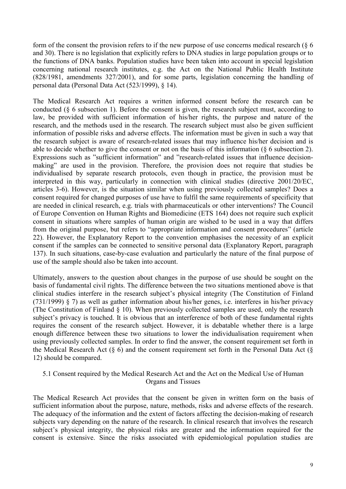form of the consent the provision refers to if the new purpose of use concerns medical research  $(\xi, 6)$ and 30). There is no legislation that explicitly refers to DNA studies in large population groups or to the functions of DNA banks. Population studies have been taken into account in special legislation concerning national research institutes, e.g. the Act on the National Public Health Institute (828/1981, amendments 327/2001), and for some parts, legislation concerning the handling of personal data (Personal Data Act (523/1999), § 14).

The Medical Research Act requires a written informed consent before the research can be conducted (§ 6 subsection 1). Before the consent is given, the research subject must, according to law, be provided with sufficient information of his/her rights, the purpose and nature of the research, and the methods used in the research. The research subject must also be given sufficient information of possible risks and adverse effects. The information must be given in such a way that the research subject is aware of research-related issues that may influence his/her decision and is able to decide whether to give the consent or not on the basis of this information (§ 6 subsection 2). Expressions such as "sufficient information" and "research-related issues that influence decisionmaking" are used in the provision. Therefore, the provision does not require that studies be individualised by separate research protocols, even though in practice, the provision must be interpreted in this way, particularly in connection with clinical studies (directive 2001/20/EC, articles 3-6). However, is the situation similar when using previously collected samples? Does a consent required for changed purposes of use have to fulfil the same requirements of specificity that are needed in clinical research, e.g. trials with pharmaceuticals or other interventions? The Council of Europe Convention on Human Rights and Biomedicine (ETS 164) does not require such explicit consent in situations where samples of human origin are wished to be used in a way that differs from the original purpose, but refers to "appropriate information and consent procedures" (article 22). However, the Explanatory Report to the convention emphasises the necessity of an explicit consent if the samples can be connected to sensitive personal data (Explanatory Report, paragraph 137). In such situations, case-by-case evaluation and particularly the nature of the final purpose of use of the sample should also be taken into account.

Ultimately, answers to the question about changes in the purpose of use should be sought on the basis of fundamental civil rights. The difference between the two situations mentioned above is that clinical studies interfere in the research subject's physical integrity (The Constitution of Finland (731/1999) § 7) as well as gather information about his/her genes, i.e. interferes in his/her privacy (The Constitution of Finland § 10). When previously collected samples are used, only the research subject's privacy is touched. It is obvious that an interference of both of these fundamental rights requires the consent of the research subject. However, it is debatable whether there is a large enough difference between these two situations to lower the individualisation requirement when using previously collected samples. In order to find the answer, the consent requirement set forth in the Medical Research Act  $(\S 6)$  and the consent requirement set forth in the Personal Data Act  $(\S$ 12) should be compared.

# 5.1 Consent required by the Medical Research Act and the Act on the Medical Use of Human Organs and Tissues

The Medical Research Act provides that the consent be given in written form on the basis of sufficient information about the purpose, nature, methods, risks and adverse effects of the research. The adequacy of the information and the extent of factors affecting the decision-making of research subjects vary depending on the nature of the research. In clinical research that involves the research subject's physical integrity, the physical risks are greater and the information required for the consent is extensive. Since the risks associated with epidemiological population studies are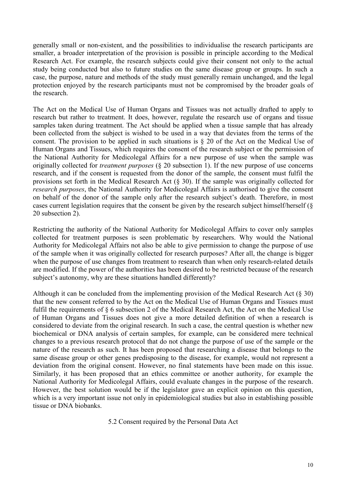generally small or non-existent, and the possibilities to individualise the research participants are smaller, a broader interpretation of the provision is possible in principle according to the Medical Research Act. For example, the research subjects could give their consent not only to the actual study being conducted but also to future studies on the same disease group or groups. In such a case, the purpose, nature and methods of the study must generally remain unchanged, and the legal protection enjoyed by the research participants must not be compromised by the broader goals of the research.

The Act on the Medical Use of Human Organs and Tissues was not actually drafted to apply to research but rather to treatment. It does, however, regulate the research use of organs and tissue samples taken during treatment. The Act should be applied when a tissue sample that has already been collected from the subject is wished to be used in a way that deviates from the terms of the consent. The provision to be applied in such situations is § 20 of the Act on the Medical Use of Human Organs and Tissues, which requires the consent of the research subject or the permission of the National Authority for Medicolegal Affairs for a new purpose of use when the sample was originally collected for *treatment purposes* (§ 20 subsection 1). If the new purpose of use concerns research, and if the consent is requested from the donor of the sample, the consent must fulfil the provisions set forth in the Medical Research Act (§ 30). If the sample was originally collected for *research purposes*, the National Authority for Medicolegal Affairs is authorised to give the consent on behalf of the donor of the sample only after the research subject's death. Therefore, in most cases current legislation requires that the consent be given by the research subject himself/herself (§ 20 subsection 2).

Restricting the authority of the National Authority for Medicolegal Affairs to cover only samples collected for treatment purposes is seen problematic by researchers. Why would the National Authority for Medicolegal Affairs not also be able to give permission to change the purpose of use of the sample when it was originally collected for research purposes? After all, the change is bigger when the purpose of use changes from treatment to research than when only research-related details are modified. If the power of the authorities has been desired to be restricted because of the research subject's autonomy, why are these situations handled differently?

Although it can be concluded from the implementing provision of the Medical Research Act (§ 30) that the new consent referred to by the Act on the Medical Use of Human Organs and Tissues must fulfil the requirements of § 6 subsection 2 of the Medical Research Act, the Act on the Medical Use of Human Organs and Tissues does not give a more detailed definition of when a research is considered to deviate from the original research. In such a case, the central question is whether new biochemical or DNA analysis of certain samples, for example, can be considered mere technical changes to a previous research protocol that do not change the purpose of use of the sample or the nature of the research as such. It has been proposed that researching a disease that belongs to the same disease group or other genes predisposing to the disease, for example, would not represent a deviation from the original consent. However, no final statements have been made on this issue. Similarly, it has been proposed that an ethics committee or another authority, for example the National Authority for Medicolegal Affairs, could evaluate changes in the purpose of the research. However, the best solution would be if the legislator gave an explicit opinion on this question, which is a very important issue not only in epidemiological studies but also in establishing possible tissue or DNA biobanks.

5.2 Consent required by the Personal Data Act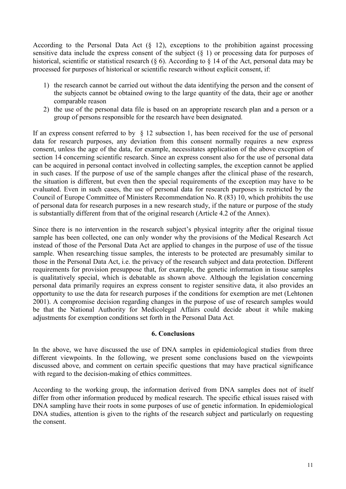According to the Personal Data Act (§ 12), exceptions to the prohibition against processing sensitive data include the express consent of the subject (§ 1) or processing data for purposes of historical, scientific or statistical research (§ 6). According to § 14 of the Act, personal data may be processed for purposes of historical or scientific research without explicit consent, if:

- 1) the research cannot be carried out without the data identifying the person and the consent of the subjects cannot be obtained owing to the large quantity of the data, their age or another comparable reason
- 2) the use of the personal data file is based on an appropriate research plan and a person or a group of persons responsible for the research have been designated.

If an express consent referred to by  $\S$  12 subsection 1, has been received for the use of personal data for research purposes, any deviation from this consent normally requires a new express consent, unless the age of the data, for example, necessitates application of the above exception of section 14 concerning scientific research. Since an express consent also for the use of personal data can be acquired in personal contact involved in collecting samples, the exception cannot be applied in such cases. If the purpose of use of the sample changes after the clinical phase of the research, the situation is different, but even then the special requirements of the exception may have to be evaluated. Even in such cases, the use of personal data for research purposes is restricted by the Council of Europe Committee of Ministers Recommendation No. R (83) 10, which prohibits the use of personal data for research purposes in a new research study, if the nature or purpose of the study is substantially different from that of the original research (Article 4.2 of the Annex).

Since there is no intervention in the research subject's physical integrity after the original tissue sample has been collected, one can only wonder why the provisions of the Medical Research Act instead of those of the Personal Data Act are applied to changes in the purpose of use of the tissue sample. When researching tissue samples, the interests to be protected are presumably similar to those in the Personal Data Act, i.e. the privacy of the research subject and data protection. Different requirements for provision presuppose that, for example, the genetic information in tissue samples is qualitatively special, which is debatable as shown above. Although the legislation concerning personal data primarily requires an express consent to register sensitive data, it also provides an opportunity to use the data for research purposes if the conditions for exemption are met (Lehtonen 2001). A compromise decision regarding changes in the purpose of use of research samples would be that the National Authority for Medicolegal Affairs could decide about it while making adjustments for exemption conditions set forth in the Personal Data Act.

#### **6. Conclusions**

In the above, we have discussed the use of DNA samples in epidemiological studies from three different viewpoints. In the following, we present some conclusions based on the viewpoints discussed above, and comment on certain specific questions that may have practical significance with regard to the decision-making of ethics committees.

According to the working group, the information derived from DNA samples does not of itself differ from other information produced by medical research. The specific ethical issues raised with DNA sampling have their roots in some purposes of use of genetic information. In epidemiological DNA studies, attention is given to the rights of the research subject and particularly on requesting the consent.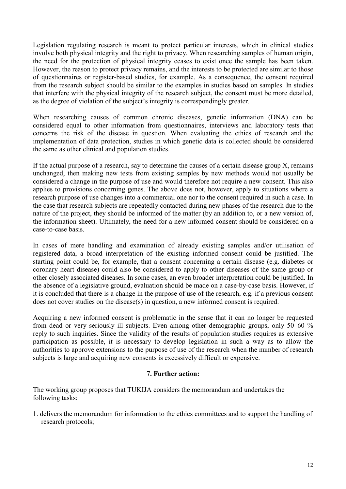Legislation regulating research is meant to protect particular interests, which in clinical studies involve both physical integrity and the right to privacy. When researching samples of human origin, the need for the protection of physical integrity ceases to exist once the sample has been taken. However, the reason to protect privacy remains, and the interests to be protected are similar to those of questionnaires or register-based studies, for example. As a consequence, the consent required from the research subject should be similar to the examples in studies based on samples. In studies that interfere with the physical integrity of the research subject, the consent must be more detailed, as the degree of violation of the subject's integrity is correspondingly greater.

When researching causes of common chronic diseases, genetic information (DNA) can be considered equal to other information from questionnaires, interviews and laboratory tests that concerns the risk of the disease in question. When evaluating the ethics of research and the implementation of data protection, studies in which genetic data is collected should be considered the same as other clinical and population studies.

If the actual purpose of a research, say to determine the causes of a certain disease group X, remains unchanged, then making new tests from existing samples by new methods would not usually be considered a change in the purpose of use and would therefore not require a new consent. This also applies to provisions concerning genes. The above does not, however, apply to situations where a research purpose of use changes into a commercial one nor to the consent required in such a case. In the case that research subjects are repeatedly contacted during new phases of the research due to the nature of the project, they should be informed of the matter (by an addition to, or a new version of, the information sheet). Ultimately, the need for a new informed consent should be considered on a case-to-case basis.

In cases of mere handling and examination of already existing samples and/or utilisation of registered data, a broad interpretation of the existing informed consent could be justified. The starting point could be, for example, that a consent concerning a certain disease (e.g. diabetes or coronary heart disease) could also be considered to apply to other diseases of the same group or other closely associated diseases. In some cases, an even broader interpretation could be justified. In the absence of a legislative ground, evaluation should be made on a case-by-case basis. However, if it is concluded that there is a change in the purpose of use of the research, e.g. if a previous consent does not cover studies on the disease(s) in question, a new informed consent is required.

Acquiring a new informed consent is problematic in the sense that it can no longer be requested from dead or very seriously ill subjects. Even among other demographic groups, only 50–60 % reply to such inquiries. Since the validity of the results of population studies requires as extensive participation as possible, it is necessary to develop legislation in such a way as to allow the authorities to approve extensions to the purpose of use of the research when the number of research subjects is large and acquiring new consents is excessively difficult or expensive.

# **7. Further action:**

The working group proposes that TUKIJA considers the memorandum and undertakes the following tasks:

1. delivers the memorandum for information to the ethics committees and to support the handling of research protocols;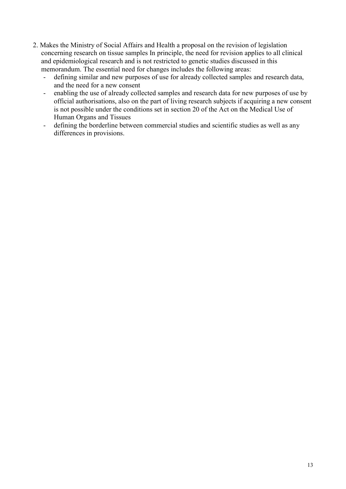- 2. Makes the Ministry of Social Affairs and Health a proposal on the revision of legislation concerning research on tissue samples In principle, the need for revision applies to all clinical and epidemiological research and is not restricted to genetic studies discussed in this memorandum. The essential need for changes includes the following areas:
	- defining similar and new purposes of use for already collected samples and research data, and the need for a new consent
	- enabling the use of already collected samples and research data for new purposes of use by official authorisations, also on the part of living research subjects if acquiring a new consent is not possible under the conditions set in section 20 of the Act on the Medical Use of Human Organs and Tissues
	- defining the borderline between commercial studies and scientific studies as well as any differences in provisions.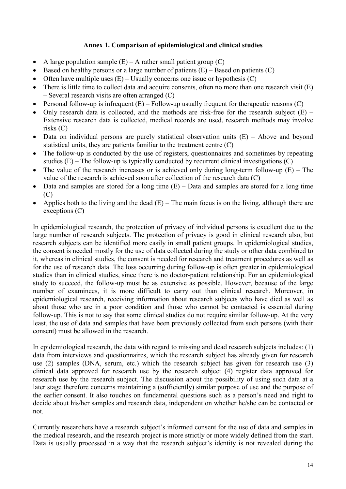# **Annex 1. Comparison of epidemiological and clinical studies**

- $\bullet$ A large population sample  $(E)$  – A rather small patient group  $(C)$
- Eased on healthy persons or a large number of patients  $(E)$  Based on patients  $(C)$
- Often have multiple uses  $(E)$  Usually concerns one issue or hypothesis  $(C)$
- There is little time to collect data and acquire consents, often no more than one research visit (E) – Several research visits are often arranged (C)
- Personal follow-up is infrequent  $(E)$  Follow-up usually frequent for therapeutic reasons  $(C)$
- Only research data is collected, and the methods are risk-free for the research subject  $(E)$  Extensive research data is collected, medical records are used, research methods may involve risks (C)
- $\bullet$  Data on individual persons are purely statistical observation units  $(E)$  Above and beyond statistical units, they are patients familiar to the treatment centre (C)
- The follow-up is conducted by the use of registers, questionnaires and sometimes by repeating studies  $(E)$  – The follow-up is typically conducted by recurrent clinical investigations  $(C)$
- The value of the research increases or is achieved only during long-term follow-up  $(E)$  The value of the research is achieved soon after collection of the research data (C)
- $\bullet$  Data and samples are stored for a long time  $(E)$  Data and samples are stored for a long time  $(C)$
- Applies both to the living and the dead  $(E)$  The main focus is on the living, although there are exceptions (C)

In epidemiological research, the protection of privacy of individual persons is excellent due to the large number of research subjects. The protection of privacy is good in clinical research also, but research subjects can be identified more easily in small patient groups. In epidemiological studies, the consent is needed mostly for the use of data collected during the study or other data combined to it, whereas in clinical studies, the consent is needed for research and treatment procedures as well as for the use of research data. The loss occurring during follow-up is often greater in epidemiological studies than in clinical studies, since there is no doctor-patient relationship. For an epidemiological study to succeed, the follow-up must be as extensive as possible. However, because of the large number of examinees, it is more difficult to carry out than clinical research. Moreover, in epidemiological research, receiving information about research subjects who have died as well as about those who are in a poor condition and those who cannot be contacted is essential during follow-up. This is not to say that some clinical studies do not require similar follow-up. At the very least, the use of data and samples that have been previously collected from such persons (with their consent) must be allowed in the research.

In epidemiological research, the data with regard to missing and dead research subjects includes: (1) data from interviews and questionnaires, which the research subject has already given for research use (2) samples (DNA, serum, etc.) which the research subject has given for research use (3) clinical data approved for research use by the research subject (4) register data approved for research use by the research subject. The discussion about the possibility of using such data at a later stage therefore concerns maintaining a (sufficiently) similar purpose of use and the purpose of the earlier consent. It also touches on fundamental questions such as a person's need and right to decide about his/her samples and research data, independent on whether he/she can be contacted or not.

Currently researchers have a research subject's informed consent for the use of data and samples in the medical research, and the research project is more strictly or more widely defined from the start. Data is usually processed in a way that the research subject's identity is not revealed during the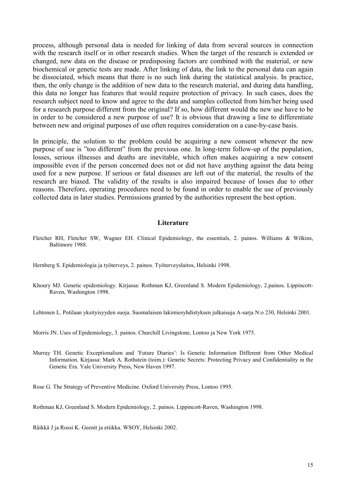process, although personal data is needed for linking of data from several sources in connection with the research itself or in other research studies. When the target of the research is extended or changed, new data on the disease or predisposing factors are combined with the material, or new biochemical or genetic tests are made. After linking of data, the link to the personal data can again be dissociated, which means that there is no such link during the statistical analysis. In practice, then, the only change is the addition of new data to the research material, and during data handling, this data no longer has features that would require protection of privacy. In such cases, does the research subject need to know and agree to the data and samples collected from him/her being used for a research purpose different from the original? If so, how different would the new use have to be in order to be considered a new purpose of use? It is obvious that drawing a line to differentiate between new and original purposes of use often requires consideration on a case-by-case basis.

In principle, the solution to the problem could be acquiring a new consent whenever the new purpose of use is "too different" from the previous one. In long-term follow-up of the population, losses, serious illnesses and deaths are inevitable, which often makes acquiring a new consent impossible even if the person concerned does not or did not have anything against the data being used for a new purpose. If serious or fatal diseases are left out of the material, the results of the research are biased. The validity of the results is also impaired because of losses due to other reasons. Therefore, operating procedures need to be found in order to enable the use of previously collected data in later studies. Permissions granted by the authorities represent the best option.

#### **Literature**

- Fletcher RH, Fletcher SW, Wagner EH. Clinical Epidemiology, the essentials, 2. painos. Williams & Wilkins, Baltimore 1988.
- Hernberg S. Epidemiologia ja työterveys, 2. painos. Työterveyslaitos, Helsinki 1998.
- Khoury MJ. Genetic epidemiology. Kirjassa: Rothman KJ, Greenland S. Modern Epidemiology, 2.painos. Lippincott-Raven, Washington 1998.

Lehtonen L. Potilaan yksityisyyden suoja. Suomalaisen lakimiesyhdistyksen julkaisuja A-sarja N:o 230, Helsinki 2001.

Morris JN. Uses of Epidemiology, 3. painos. Churchill Livingstone, Lontoo ja New York 1975.

Murray TH. Genetic Exceptionalism and 'Future Diaries': Is Genetic Information Different from Other Medical Information. Kirjassa: Mark A. Rothstein (toim.): Genetic Secrets: Protecting Privacy and Confidentiality in the Genetic Era. Yale University Press, New Haven 1997.

Rose G. The Strategy of Preventive Medicine. Oxford University Press, Lontoo 1995.

Rothman KJ, Greenland S. Modern Epidemiology, 2. painos. Lippincott-Raven, Washington 1998.

Räikkä J ja Rossi K. Geenit ja etiikka. WSOY, Helsinki 2002.